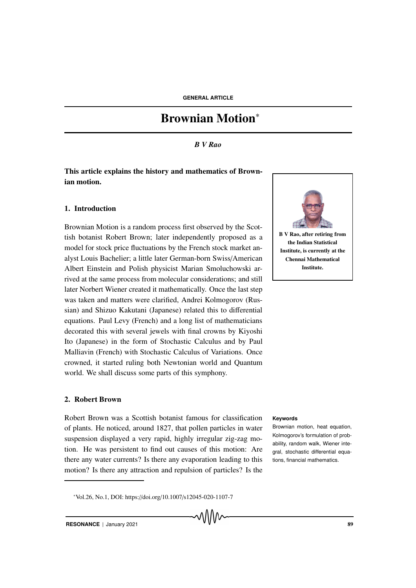# Brownian Motion<sup>∗</sup>

# *B V Rao*

# This article explains the history and mathematics of Brownian motion.

# 1. Introduction

Brownian Motion is a random process first observed by the Scottish botanist Robert Brown; later independently proposed as a model for stock price fluctuations by the French stock market analyst Louis Bachelier; a little later German-born Swiss/American Albert Einstein and Polish physicist Marian Smoluchowski arrived at the same process from molecular considerations; and still later Norbert Wiener created it mathematically. Once the last step was taken and matters were clarified, Andrei Kolmogorov (Russian) and Shizuo Kakutani (Japanese) related this to differential equations. Paul Levy (French) and a long list of mathematicians decorated this with several jewels with final crowns by Kiyoshi Ito (Japanese) in the form of Stochastic Calculus and by Paul Malliavin (French) with Stochastic Calculus of Variations. Once crowned, it started ruling both Newtonian world and Quantum world. We shall discuss some parts of this symphony.

#### 2. Robert Brown

Robert Brown was a Scottish botanist famous for classification **Keywords** of plants. He noticed, around 1827, that pollen particles in water suspension displayed a very rapid, highly irregular zig-zag motion. He was persistent to find out causes of this motion: Are there any water currents? Is there any evaporation leading to this motion? Is there any attraction and repulsion of particles? Is the

<sup>∗</sup>Vol.26, No.1, DOI: https://doi.org/10.1007/s12045-020-1107-7





B V Rao, after retiring from the Indian Statistical Institute, is currently at the Chennai Mathematical Institute.

Brownian motion, heat equation, Kolmogorov's formulation of probability, random walk, Wiener integral, stochastic differential equations, financial mathematics.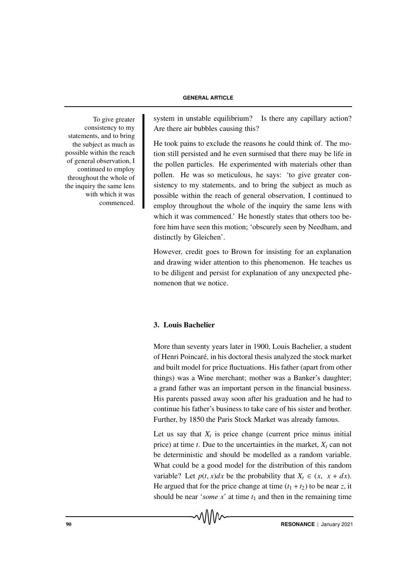#### **GENERAL ARTICLE**

consistency to my statements, and to bring the subject as much as possible within the reach of general observation, I continued to employ throughout the whole of the inquiry the same lens with which it was commenced.

To give greater system in unstable equilibrium? Is there any capillary action? Are there air bubbles causing this?

> He took pains to exclude the reasons he could think of. The motion still persisted and he even surmised that there may be life in the pollen particles. He experimented with materials other than pollen. He was so meticulous, he says: 'to give greater consistency to my statements, and to bring the subject as much as possible within the reach of general observation, I continued to employ throughout the whole of the inquiry the same lens with which it was commenced.' He honestly states that others too before him have seen this motion; 'obscurely seen by Needham, and distinctly by Gleichen'.

> However, credit goes to Brown for insisting for an explanation and drawing wider attention to this phenomenon. He teaches us to be diligent and persist for explanation of any unexpected phenomenon that we notice.

# 3. Louis Bachelier

More than seventy years later in 1900, Louis Bachelier, a student of Henri Poincar´e, in his doctoral thesis analyzed the stock market and built model for price fluctuations. His father (apart from other things) was a Wine merchant; mother was a Banker's daughter; a grand father was an important person in the financial business. His parents passed away soon after his graduation and he had to continue his father's business to take care of his sister and brother. Further, by 1850 the Paris Stock Market was already famous.

Let us say that  $X_t$  is price change (current price minus initial price) at time  $t$ . Due to the uncertainties in the market,  $X_t$  can not be deterministic and should be modelled as a random variable. What could be a good model for the distribution of this random variable? Let  $p(t, x)dx$  be the probability that  $X_t \in (x, x + dx)$ . He argued that for the price change at time  $(t_1 + t_2)$  to be near *z*, it should be near '*some*  $x$ ' at time  $t_1$  and then in the remaining time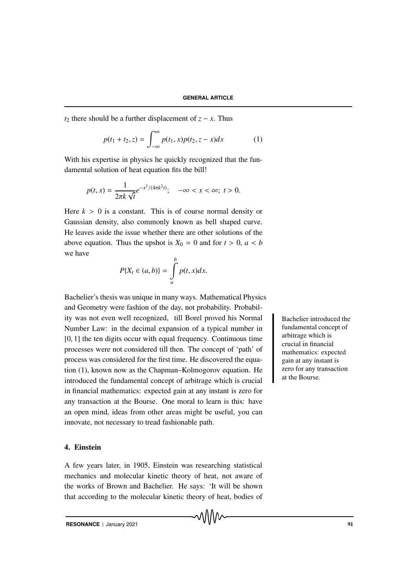*t*<sub>2</sub> there should be a further displacement of  $z - x$ . Thus

$$
p(t_1 + t_2, z) = \int_{-\infty}^{\infty} p(t_1, x) p(t_2, z - x) dx
$$
 (1)

With his expertise in physics he quickly recognized that the fundamental solution of heat equation fits the bill!

$$
p(t,x) = \frac{1}{2\pi k \sqrt{t}} e^{-x^2/(4\pi k^2 t)}; \quad -\infty < x < \infty; \ t > 0.
$$

Here  $k > 0$  is a constant. This is of course normal density or Gaussian density, also commonly known as bell shaped curve. He leaves aside the issue whether there are other solutions of the above equation. Thus the upshot is  $X_0 = 0$  and for  $t > 0$ ,  $a < b$ we have *b*

$$
P\{X_t \in (a,b)\} = \int_a^b p(t,x)dx.
$$

Bachelier's thesis was unique in many ways. Mathematical Physics and Geometry were fashion of the day, not probability. Probability was not even well recognized, till Borel proved his Normal Bachelier introduced the Number Law: in the decimal expansion of a typical number in [0, 1] the ten digits occur with equal frequency. Continuous time processes were not considered till then. The concept of 'path' of process was considered for the first time. He discovered the equation (1), known now as the Chapman–Kolmogorov equation. He introduced the fundamental concept of arbitrage which is crucial in financial mathematics: expected gain at any instant is zero for any transaction at the Bourse. One moral to learn is this: have an open mind, ideas from other areas might be useful, you can innovate, not necessary to tread fashionable path.

# 4. Einstein

A few years later, in 1905, Einstein was researching statistical mechanics and molecular kinetic theory of heat, not aware of the works of Brown and Bachelier. He says: 'It will be shown that according to the molecular kinetic theory of heat, bodies of

**RESONANCE** | January 2021 91

fundamental concept of arbitrage which is crucial in financial mathematics: expected gain at any instant is zero for any transaction at the Bourse.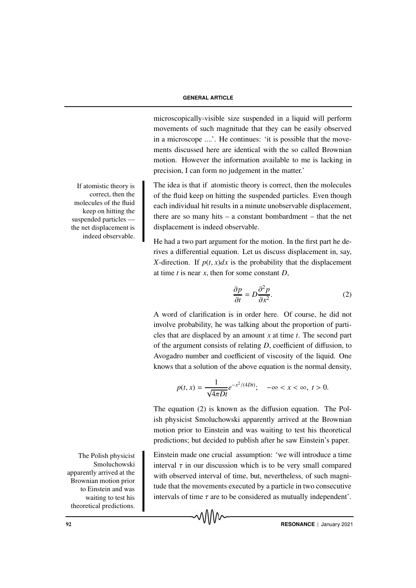#### **GENERAL ARTICLE**

microscopically-visible size suspended in a liquid will perform movements of such magnitude that they can be easily observed in a microscope ....'. He continues: 'it is possible that the movements discussed here are identical with the so called Brownian motion. However the information available to me is lacking in precision, I can form no judgement in the matter.'

The idea is that if atomistic theory is correct, then the molecules of the fluid keep on hitting the suspended particles. Even though each individual hit results in a minute unobservable displacement, there are so many hits – a constant bombardment – that the net displacement is indeed observable.

He had a two part argument for the motion. In the first part he derives a differential equation. Let us discuss displacement in, say, *X*-direction. If  $p(t, x)dx$  is the probability that the displacement at time *t* is near *x*, then for some constant *D*,

$$
\frac{\partial p}{\partial t} = D \frac{\partial^2 p}{\partial x^2}.
$$
 (2)

A word of clarification is in order here. Of course, he did not involve probability, he was talking about the proportion of particles that are displaced by an amount *x* at time *t*. The second part of the argument consists of relating *D*, coefficient of diffusion, to Avogadro number and coefficient of viscosity of the liquid. One knows that a solution of the above equation is the normal density,

$$
p(t,x) = \frac{1}{\sqrt{4\pi Dt}} e^{-x^2/(4Dt)}; \quad -\infty < x < \infty, \ t > 0.
$$

The equation (2) is known as the diffusion equation. The Polish physicist Smoluchowski apparently arrived at the Brownian motion prior to Einstein and was waiting to test his theoretical predictions; but decided to publish after he saw Einstein's paper.

The Polish physicist Einstein made one crucial assumption: 'we will introduce a time interval  $\tau$  in our discussion which is to be very small compared with observed interval of time, but, nevertheless, of such magnitude that the movements executed by a particle in two consecutive intervals of time  $\tau$  are to be considered as mutually independent'.

If atomistic theory is correct, then the molecules of the fluid keep on hitting the suspended particles the net displacement is indeed observable.

Smoluchowski apparently arrived at the Brownian motion prior to Einstein and was waiting to test his theoretical predictions.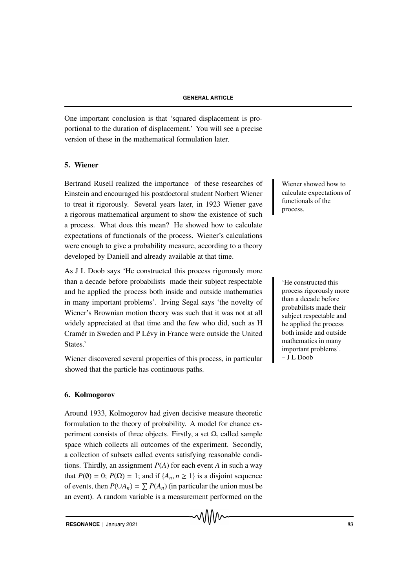One important conclusion is that 'squared displacement is proportional to the duration of displacement.' You will see a precise version of these in the mathematical formulation later.

# 5. Wiener

Bertrand Rusell realized the importance of these researches of Wiener showed how to Einstein and encouraged his postdoctoral student Norbert Wiener to treat it rigorously. Several years later, in 1923 Wiener gave a rigorous mathematical argument to show the existence of such a process. What does this mean? He showed how to calculate expectations of functionals of the process. Wiener's calculations were enough to give a probability measure, according to a theory developed by Daniell and already available at that time.

As J L Doob says 'He constructed this process rigorously more than a decade before probabilists made their subject respectable 
'He constructed this and he applied the process both inside and outside mathematics in many important problems'. Irving Segal says 'the novelty of Wiener's Brownian motion theory was such that it was not at all widely appreciated at that time and the few who did, such as H Cramér in Sweden and P Lévy in France were outside the United States.'

Wiener discovered several properties of this process, in particular showed that the particle has continuous paths.

# 6. Kolmogorov

Around 1933, Kolmogorov had given decisive measure theoretic formulation to the theory of probability. A model for chance experiment consists of three objects. Firstly, a set  $\Omega$ , called sample space which collects all outcomes of the experiment. Secondly, a collection of subsets called events satisfying reasonable conditions. Thirdly, an assignment *P*(*A*) for each event *A* in such a way that  $P(\emptyset) = 0$ ;  $P(\Omega) = 1$ ; and if  $\{A_n, n \geq 1\}$  is a disjoint sequence of events, then  $P(\cup A_n) = \sum P(A_n)$  (in particular the union must be an event). A random variable is a measurement performed on the

**RESONANCE** | January 2021 93

calculate expectations of functionals of the process.

process rigorously more than a decade before probabilists made their subject respectable and he applied the process both inside and outside mathematics in many important problems'. – J L Doob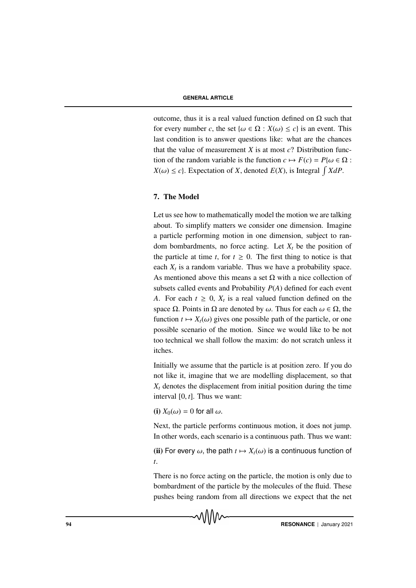outcome, thus it is a real valued function defined on Ω such that for every number *c*, the set  $\{\omega \in \Omega : X(\omega) \le c\}$  is an event. This last condition is to answer questions like: what are the chances that the value of measurement  $X$  is at most  $c$ ? Distribution function of the random variable is the function  $c \mapsto F(c) = P\{\omega \in \Omega :$  $X(\omega) \leq c$ . Expectation of *X*, denoted  $E(X)$ , is Integral  $\int X dP$ .

# 7. The Model

Let us see how to mathematically model the motion we are talking about. To simplify matters we consider one dimension. Imagine a particle performing motion in one dimension, subject to random bombardments, no force acting. Let  $X_t$  be the position of the particle at time  $t$ , for  $t \geq 0$ . The first thing to notice is that each  $X_t$  is a random variable. Thus we have a probability space. As mentioned above this means a set  $\Omega$  with a nice collection of subsets called events and Probability *P*(*A*) defined for each event *A*. For each  $t \geq 0$ ,  $X_t$  is a real valued function defined on the space  $\Omega$ . Points in  $\Omega$  are denoted by  $\omega$ . Thus for each  $\omega \in \Omega$ , the function  $t \mapsto X_t(\omega)$  gives one possible path of the particle, or one possible scenario of the motion. Since we would like to be not too technical we shall follow the maxim: do not scratch unless it itches.

Initially we assume that the particle is at position zero. If you do not like it, imagine that we are modelling displacement, so that  $X_t$  denotes the displacement from initial position during the time interval [0, *t*]. Thus we want:

(i)  $X_0(\omega) = 0$  for all  $\omega$ .

Next, the particle performs continuous motion, it does not jump. In other words, each scenario is a continuous path. Thus we want:

(ii) For every  $\omega$ , the path  $t \mapsto X_t(\omega)$  is a continuous function of *t*.

There is no force acting on the particle, the motion is only due to bombardment of the particle by the molecules of the fluid. These pushes being random from all directions we expect that the net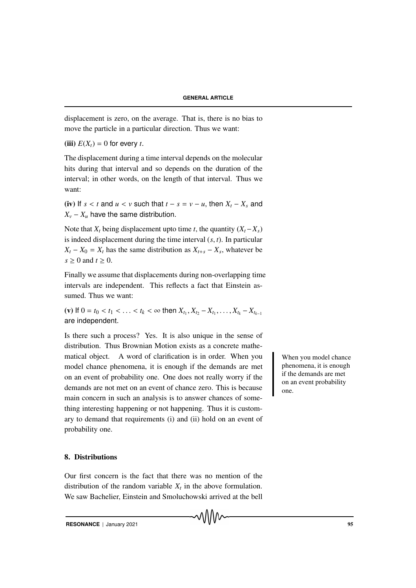displacement is zero, on the average. That is, there is no bias to move the particle in a particular direction. Thus we want:

(iii)  $E(X_t) = 0$  for every *t*.

The displacement during a time interval depends on the molecular hits during that interval and so depends on the duration of the interval; in other words, on the length of that interval. Thus we want:

(iv) If  $s < t$  and  $u < v$  such that  $t - s = v - u$ , then  $X_t - X_s$  and  $X_v - X_u$  have the same distribution.

Note that  $X_t$  being displacement upto time *t*, the quantity  $(X_t - X_s)$ is indeed displacement during the time interval (*s*, *t*). In particular  $X_t - X_0 = X_t$  has the same distribution as  $X_{t+s} - X_s$ , whatever be  $s \geq 0$  and  $t \geq 0$ .

Finally we assume that displacements during non-overlapping time intervals are independent. This reflects a fact that Einstein assumed. Thus we want:

 $f(x)$  If  $0 = t_0 < t_1 < \ldots < t_k < \infty$  then  $X_{t_1}, X_{t_2} - X_{t_1}, \ldots, X_{t_k} - X_{t_{k-1}}$ are independent.

Is there such a process? Yes. It is also unique in the sense of distribution. Thus Brownian Motion exists as a concrete mathematical object. A word of clarification is in order. When you when you model chance model chance phenomena, it is enough if the demands are met on an event of probability one. One does not really worry if the demands are not met on an event of chance zero. This is because main concern in such an analysis is to answer chances of something interesting happening or not happening. Thus it is customary to demand that requirements (i) and (ii) hold on an event of probability one.

# 8. Distributions

Our first concern is the fact that there was no mention of the distribution of the random variable  $X_t$  in the above formulation. We saw Bachelier, Einstein and Smoluchowski arrived at the bell

√∖\\/\∧

**RESONANCE** | January 2021 **95 1999** 

phenomena, it is enough if the demands are met on an event probability one.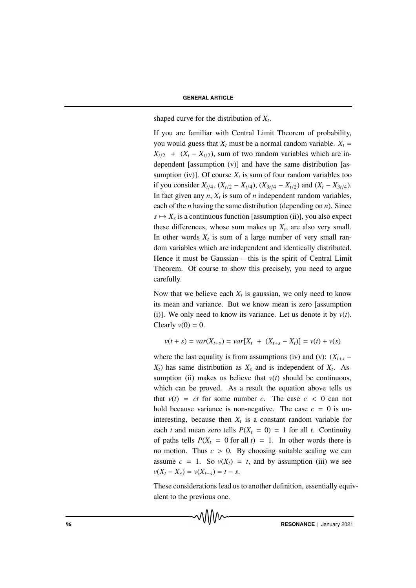# **GENERAL ARTICLE**

shaped curve for the distribution of *X<sup>t</sup>* .

If you are familiar with Central Limit Theorem of probability, you would guess that  $X_t$  must be a normal random variable.  $X_t$  =  $X_{t/2}$  + ( $X_t - X_{t/2}$ ), sum of two random variables which are independent [assumption (v)] and have the same distribution [assumption (iv)]. Of course  $X_t$  is sum of four random variables too if you consider  $X_{t/4}$ ,  $(X_{t/2} - X_{t/4})$ ,  $(X_{3t/4} - X_{t/2})$  and  $(X_t - X_{3t/4})$ . In fact given any  $n$ ,  $X_t$  is sum of  $n$  independent random variables, each of the *n* having the same distribution (depending on *n*). Since  $s \mapsto X_s$  is a continuous function [assumption (ii)], you also expect these differences, whose sum makes up  $X_t$ , are also very small. In other words  $X_t$  is sum of a large number of very small random variables which are independent and identically distributed. Hence it must be Gaussian – this is the spirit of Central Limit Theorem. Of course to show this precisely, you need to argue carefully.

Now that we believe each  $X_t$  is gaussian, we only need to know its mean and variance. But we know mean is zero [assumption (i)]. We only need to know its variance. Let us denote it by  $v(t)$ . Clearly  $v(0) = 0$ .

$$
v(t + s) = var(X_{t+s}) = var[X_t + (X_{t+s} - X_t)] = v(t) + v(s)
$$

where the last equality is from assumptions (iv) and (v):  $(X_{t+s}$  –  $X_t$ ) has same distribution as  $X_s$  and is independent of  $X_t$ . Assumption (ii) makes us believe that  $v(t)$  should be continuous, which can be proved. As a result the equation above tells us that  $v(t) = ct$  for some number *c*. The case  $c < 0$  can not hold because variance is non-negative. The case  $c = 0$  is uninteresting, because then  $X_t$  is a constant random variable for each *t* and mean zero tells  $P(X_t = 0) = 1$  for all *t*. Continuity of paths tells  $P(X_t = 0$  for all  $t$ ) = 1. In other words there is no motion. Thus  $c > 0$ . By choosing suitable scaling we can assume  $c = 1$ . So  $v(X_t) = t$ , and by assumption (iii) we see  $v(X_t - X_s) = v(X_{t-s}) = t - s.$ 

These considerations lead us to another definition, essentially equivalent to the previous one.

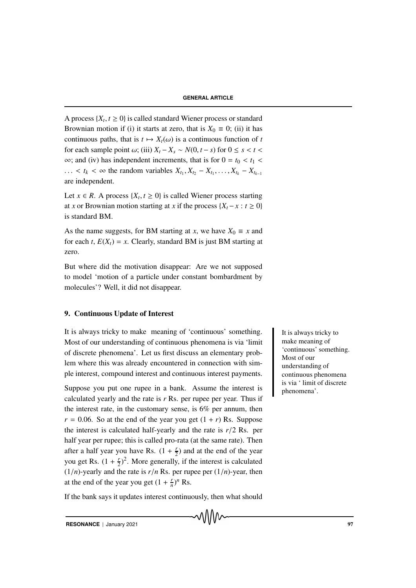A process  $\{X_t, t \geq 0\}$  is called standard Wiener process or standard Brownian motion if (i) it starts at zero, that is  $X_0 = 0$ ; (ii) it has continuous paths, that is  $t \mapsto X_t(\omega)$  is a continuous function of *t* for each sample point  $\omega$ ; (iii)  $X_t - X_s \sim N(0, t - s)$  for  $0 \le s < t <$  $\infty$ ; and (iv) has independent increments, that is for  $0 = t_0 < t_1$  $\ldots$  < *t*<sub>*k*</sub> < ∞ the random variables  $X_{t_1}, X_{t_2} - X_{t_1}, \ldots, X_{t_k} - X_{t_{k-1}}$ are independent.

Let  $x \in R$ . A process  $\{X_t, t \geq 0\}$  is called Wiener process starting at *x* or Brownian motion starting at *x* if the process  $\{X_t - x : t \geq 0\}$ is standard BM.

As the name suggests, for BM starting at *x*, we have  $X_0 \equiv x$  and for each *t*,  $E(X_t) = x$ . Clearly, standard BM is just BM starting at zero.

But where did the motivation disappear: Are we not supposed to model 'motion of a particle under constant bombardment by molecules'? Well, it did not disappear.

# 9. Continuous Update of Interest

It is always tricky to make meaning of 'continuous' something. It is always tricky to Most of our understanding of continuous phenomena is via 'limit of discrete phenomena'. Let us first discuss an elementary problem where this was already encountered in connection with simple interest, compound interest and continuous interest payments.

Suppose you put one rupee in a bank. Assume the interest is calculated yearly and the rate is *r* Rs. per rupee per year. Thus if the interest rate, in the customary sense, is 6% per annum, then  $r = 0.06$ . So at the end of the year you get  $(1 + r)$  Rs. Suppose the interest is calculated half-yearly and the rate is *r*/2 Rs. per half year per rupee; this is called pro-rata (at the same rate). Then after a half year you have Rs.  $(1 + \frac{r}{2})$  $(\frac{r}{2})$  and at the end of the year you get Rs.  $(1 + \frac{r}{2})$  $(\frac{r}{2})^2$ . More generally, if the interest is calculated  $(1/n)$ -yearly and the rate is  $r/n$  Rs. per rupee per  $(1/n)$ -year, then at the end of the year you get  $(1 + \frac{r}{n})$  $\frac{r}{n}$ <sup>*n*</sup> Rs.

If the bank says it updates interest continuously, then what should

make meaning of 'continuous' something. Most of our understanding of continuous phenomena is via ' limit of discrete phenomena'.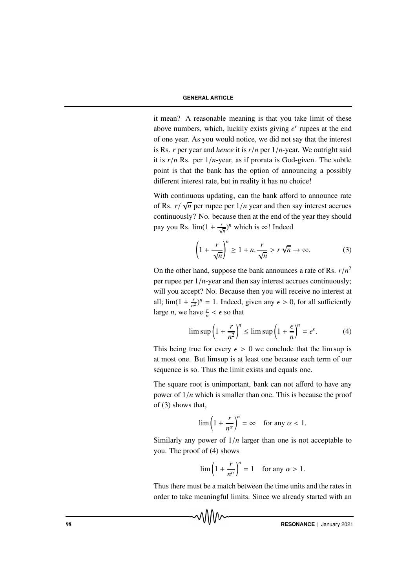it mean? A reasonable meaning is that you take limit of these above numbers, which, luckily exists giving *e r* rupees at the end of one year. As you would notice, we did not say that the interest is Rs. *r* per year and *hence* it is *r*/*n* per 1/*n*-year. We outright said it is  $r/n$  Rs. per  $1/n$ -year, as if prorata is God-given. The subtle point is that the bank has the option of announcing a possibly different interest rate, but in reality it has no choice!

With continuous updating, can the bank afford to announce rate of Rs. *r*/ √ *n* per rupee per 1/*n* year and then say interest accrues continuously? No. because then at the end of the year they should pay you Rs.  $\lim_{n \to \infty} (1 + \frac{r}{\sqrt{n}})^n$  which is  $\infty$ ! Indeed

$$
\left(1 + \frac{r}{\sqrt{n}}\right)^n \ge 1 + n \cdot \frac{r}{\sqrt{n}} > r\sqrt{n} \to \infty.
$$
 (3)

On the other hand, suppose the bank announces a rate of Rs.  $r/n^2$ per rupee per 1/*n*-year and then say interest accrues continuously; will you accept? No. Because then you will receive no interest at all;  $\lim_{x \to 0} (1 + \frac{r}{n})$  $(\frac{r}{n^2})^n = 1$ . Indeed, given any  $\epsilon > 0$ , for all sufficiently large *n*, we have  $\frac{r}{n} < \epsilon$  so that

$$
\limsup \left(1 + \frac{r}{n^2}\right)^n \le \limsup \left(1 + \frac{\epsilon}{n}\right)^n = e^{\epsilon}.\tag{4}
$$

This being true for every  $\epsilon > 0$  we conclude that the lim sup is at most one. But limsup is at least one because each term of our sequence is so. Thus the limit exists and equals one.

The square root is unimportant, bank can not afford to have any power of 1/*n* which is smaller than one. This is because the proof of (3) shows that,

$$
\lim_{n \to \infty} \left( 1 + \frac{r}{n^{\alpha}} \right)^n = \infty \quad \text{for any } \alpha < 1.
$$

Similarly any power of 1/*n* larger than one is not acceptable to you. The proof of (4) shows

$$
\lim_{n \to \infty} \left( 1 + \frac{r}{n^{\alpha}} \right)^n = 1 \quad \text{for any } \alpha > 1.
$$

Thus there must be a match between the time units and the rates in order to take meaningful limits. Since we already started with an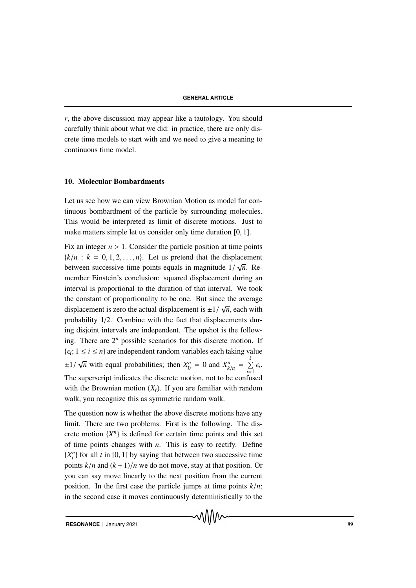*r*, the above discussion may appear like a tautology. You should carefully think about what we did: in practice, there are only discrete time models to start with and we need to give a meaning to continuous time model.

#### 10. Molecular Bombardments

Let us see how we can view Brownian Motion as model for continuous bombardment of the particle by surrounding molecules. This would be interpreted as limit of discrete motions. Just to make matters simple let us consider only time duration [0, 1].

Fix an integer  $n > 1$ . Consider the particle position at time points  ${k/n : k = 0, 1, 2, ..., n}$ . Let us pretend that the displacement between successive time points equals in magnitude  $1/\sqrt{n}$ . Remember Einstein's conclusion: squared displacement during an interval is proportional to the duration of that interval. We took the constant of proportionality to be one. But since the average displacement is zero the actual displacement is  $\pm 1/\sqrt{ }$ *n*, each with probability 1/2. Combine with the fact that displacements during disjoint intervals are independent. The upshot is the following. There are  $2^n$  possible scenarios for this discrete motion. If  $\{\epsilon_i; 1 \leq i \leq n\}$  are independent random variables each taking value  $\pm 1/\sqrt{2}$ *n* with equal probabilities; then  $X_0^n = 0$  and  $X_{k/n}^n = \sum_{k=1}^k X_k^n$  $\sum_{i=1}$   $\epsilon_i$ . The superscript indicates the discrete motion, not to be confused with the Brownian motion  $(X_t)$ . If you are familiar with random walk, you recognize this as symmetric random walk.

The question now is whether the above discrete motions have any limit. There are two problems. First is the following. The discrete motion  $\{X^n\}$  is defined for certain time points and this set of time points changes with *n*. This is easy to rectify. Define  ${X<sub>t</sub><sup>n</sup>}$  for all *t* in [0, 1] by saying that between two successive time points  $k/n$  and  $(k + 1)/n$  we do not move, stay at that position. Or you can say move linearly to the next position from the current position. In the first case the particle jumps at time points  $k/n$ ; in the second case it moves continuously deterministically to the

**RESONANCE** | January 2021 999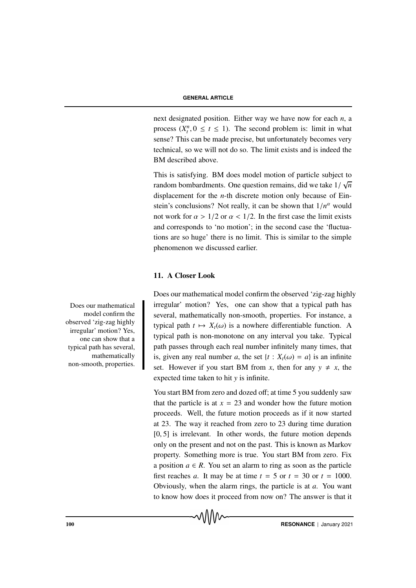next designated position. Either way we have now for each *n*, a process  $(X_t^n, 0 \le t \le 1)$ . The second problem is: limit in what sense? This can be made precise, but unfortunately becomes very technical, so we will not do so. The limit exists and is indeed the BM described above.

This is satisfying. BM does model motion of particle subject to random bombardments. One question remains, did we take 1/ √ *n* displacement for the *n*-th discrete motion only because of Einstein's conclusions? Not really, it can be shown that  $1/n^{\alpha}$  would not work for  $\alpha > 1/2$  or  $\alpha < 1/2$ . In the first case the limit exists and corresponds to 'no motion'; in the second case the 'fluctuations are so huge' there is no limit. This is similar to the simple phenomenon we discussed earlier.

# 11. A Closer Look

Does our mathematical model confirm the observed 'zig-zag highly Does our mathematical irregular' motion? Yes, one can show that a typical path has several, mathematically non-smooth, properties. For instance, a typical path  $t \mapsto X_t(\omega)$  is a nowhere differentiable function. A typical path is non-monotone on any interval you take. Typical path passes through each real number infinitely many times, that is, given any real number *a*, the set  $\{t : X_t(\omega) = a\}$  is an infinite set. However if you start BM from *x*, then for any  $y \neq x$ , the expected time taken to hit *y* is infinite.

> You start BM from zero and dozed off; at time 5 you suddenly saw that the particle is at  $x = 23$  and wonder how the future motion proceeds. Well, the future motion proceeds as if it now started at 23. The way it reached from zero to 23 during time duration [0, 5] is irrelevant. In other words, the future motion depends only on the present and not on the past. This is known as Markov property. Something more is true. You start BM from zero. Fix a position  $a \in R$ . You set an alarm to ring as soon as the particle first reaches *a*. It may be at time  $t = 5$  or  $t = 30$  or  $t = 1000$ . Obviously, when the alarm rings, the particle is at *a*. You want to know how does it proceed from now on? The answer is that it

> > √∖∖∖∧∼

model confirm the observed 'zig-zag highly irregular' motion? Yes, one can show that a typical path has several, mathematically non-smooth, properties.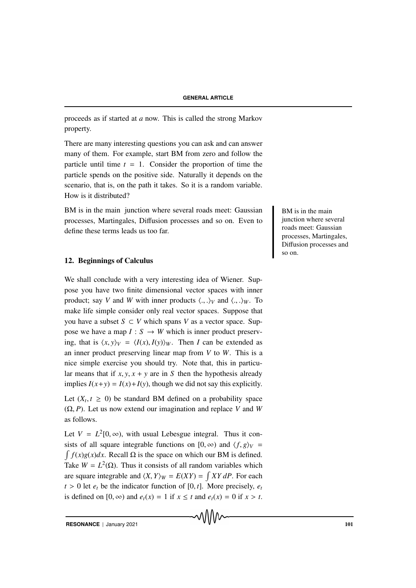proceeds as if started at *a* now. This is called the strong Markov property.

There are many interesting questions you can ask and can answer many of them. For example, start BM from zero and follow the particle until time  $t = 1$ . Consider the proportion of time the particle spends on the positive side. Naturally it depends on the scenario, that is, on the path it takes. So it is a random variable. How is it distributed?

BM is in the main junction where several roads meet: Gaussian BM is in the main processes, Martingales, Diffusion processes and so on. Even to define these terms leads us too far.

# 12. Beginnings of Calculus

We shall conclude with a very interesting idea of Wiener. Suppose you have two finite dimensional vector spaces with inner product; say *V* and *W* with inner products  $\langle ., . \rangle_V$  and  $\langle ., . \rangle_W$ . To make life simple consider only real vector spaces. Suppose that you have a subset *S* ⊂ *V* which spans *V* as a vector space. Suppose we have a map  $I: S \to W$  which is inner product preserving, that is  $\langle x, y \rangle$ <sup>*V*</sup> =  $\langle I(x), I(y) \rangle$ <sup>*W*</sup>. Then *I* can be extended as an inner product preserving linear map from *V* to *W*. This is a nice simple exercise you should try. Note that, this in particular means that if  $x, y, x + y$  are in *S* then the hypothesis already implies  $I(x+y) = I(x)+I(y)$ , though we did not say this explicitly.

Let  $(X_t, t \geq 0)$  be standard BM defined on a probability space (Ω, *P*). Let us now extend our imagination and replace *V* and *W* as follows.

Let  $V = L^2[0, \infty)$ , with usual Lebesgue integral. Thus it consists of all square integrable functions on  $[0, \infty)$  and  $\langle f, g \rangle_V =$  $\int f(x)g(x)dx$ . Recall  $\Omega$  is the space on which our BM is defined. Take  $W = L^2(\Omega)$ . Thus it consists of all random variables which are square integrable and  $\langle X, Y \rangle_W = E(XY) = \int XY dP$ . For each  $t > 0$  let  $e_t$  be the indicator function of [0, *t*]. More precisely,  $e_t$ is defined on  $[0, \infty)$  and  $e_t(x) = 1$  if  $x \le t$  and  $e_t(x) = 0$  if  $x > t$ . junction where several roads meet: Gaussian processes, Martingales, Diffusion processes and so on.

**RESONANCE** | January 2021 101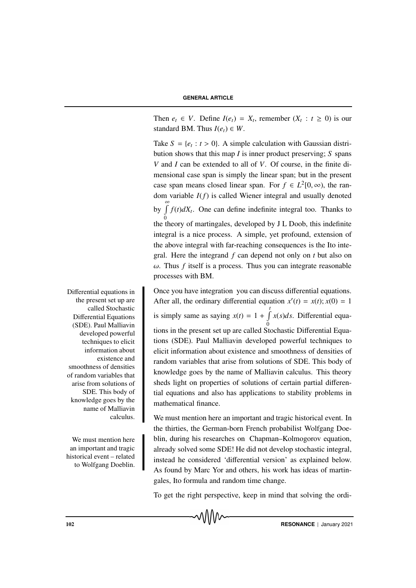Then  $e_t \in V$ . Define  $I(e_t) = X_t$ , remember  $(X_t : t \ge 0)$  is our standard BM. Thus  $I(e_t) \in W$ .

Take  $S = \{e_t : t > 0\}$ . A simple calculation with Gaussian distribution shows that this map *I* is inner product preserving; *S* spans *V* and *I* can be extended to all of *V*. Of course, in the finite dimensional case span is simply the linear span; but in the present case span means closed linear span. For  $f \in L^2[0, \infty)$ , the random variable *I*(*f*) is called Wiener integral and usually denoted by  $\int_{0}^{\infty} f(t) dX_t$ . One can define indefinite integral too. Thanks to 0 the theory of martingales, developed by J L Doob, this indefinite integral is a nice process. A simple, yet profound, extension of the above integral with far-reaching consequences is the Ito integral. Here the integrand *f* can depend not only on *t* but also on  $\omega$ . Thus *f* itself is a process. Thus you can integrate reasonable processes with BM.

Differential equations in **Once you have integration** you can discuss differential equations. After all, the ordinary differential equation  $x'(t) = x(t)$ ;  $x(0) = 1$ is simply same as saying  $x(t) = 1 + \int_{0}^{t} x(s)ds$ . Differential equa-0 tions in the present set up are called Stochastic Differential Equations (SDE). Paul Malliavin developed powerful techniques to elicit information about existence and smoothness of densities of random variables that arise from solutions of SDE. This body of knowledge goes by the name of Malliavin calculus. This theory sheds light on properties of solutions of certain partial differential equations and also has applications to stability problems in mathematical finance.

We must mention here an important and tragic historical event. In the thirties, the German-born French probabilist Wolfgang Doe-We must mention here blin, during his researches on Chapman–Kolmogorov equation, already solved some SDE! He did not develop stochastic integral, instead he considered 'differential version' as explained below. As found by Marc Yor and others, his work has ideas of martingales, Ito formula and random time change.

To get the right perspective, keep in mind that solving the ordi-

the present set up are called Stochastic Differential Equations (SDE). Paul Malliavin developed powerful techniques to elicit information about existence and smoothness of densities of random variables that arise from solutions of SDE. This body of knowledge goes by the name of Malliavin calculus.

an important and tragic historical event – related to Wolfgang Doeblin.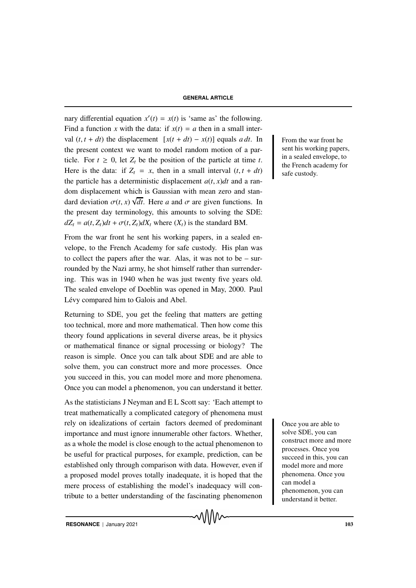nary differential equation  $x'(t) = x(t)$  is 'same as' the following. Find a function *x* with the data: if  $x(t) = a$  then in a small interval  $(t, t + dt)$  the displacement  $[x(t + dt) - x(t)]$  equals *a dt*. In From the war front he the present context we want to model random motion of a particle. For  $t \geq 0$ , let  $Z_t$  be the position of the particle at time *t*. Here is the data: if  $Z_t = x$ , then in a small interval  $(t, t + dt)$ the particle has a deterministic displacement  $a(t, x)dt$  and a random displacement which is Gaussian with mean zero and standard deviation  $\sigma(t, x)$   $\forall dt$ . Here *a* and  $\sigma$  are given functions. In the present day terminology, this amounts to solving the SDE:  $dZ_t = a(t, Z_t)dt + \sigma(t, Z_t)dX_t$  where  $(X_t)$  is the standard BM.

From the war front he sent his working papers, in a sealed envelope, to the French Academy for safe custody. His plan was to collect the papers after the war. Alas, it was not to be – surrounded by the Nazi army, he shot himself rather than surrendering. This was in 1940 when he was just twenty five years old. The sealed envelope of Doeblin was opened in May, 2000. Paul Lévy compared him to Galois and Abel.

Returning to SDE, you get the feeling that matters are getting too technical, more and more mathematical. Then how come this theory found applications in several diverse areas, be it physics or mathematical finance or signal processing or biology? The reason is simple. Once you can talk about SDE and are able to solve them, you can construct more and more processes. Once you succeed in this, you can model more and more phenomena. Once you can model a phenomenon, you can understand it better.

As the statisticians J Neyman and E L Scott say: 'Each attempt to treat mathematically a complicated category of phenomena must rely on idealizations of certain Once you are able to factors deemed of predominant importance and must ignore innumerable other factors. Whether, as a whole the model is close enough to the actual phenomenon to be useful for practical purposes, for example, prediction, can be established only through comparison with data. However, even if a proposed model proves totally inadequate, it is hoped that the mere process of establishing the model's inadequacy will contribute to a better understanding of the fascinating phenomenon

sent his working papers, in a sealed envelope, to the French academy for safe custody.

solve SDE, you can construct more and more processes. Once you succeed in this, you can model more and more phenomena. Once you can model a phenomenon, you can understand it better.